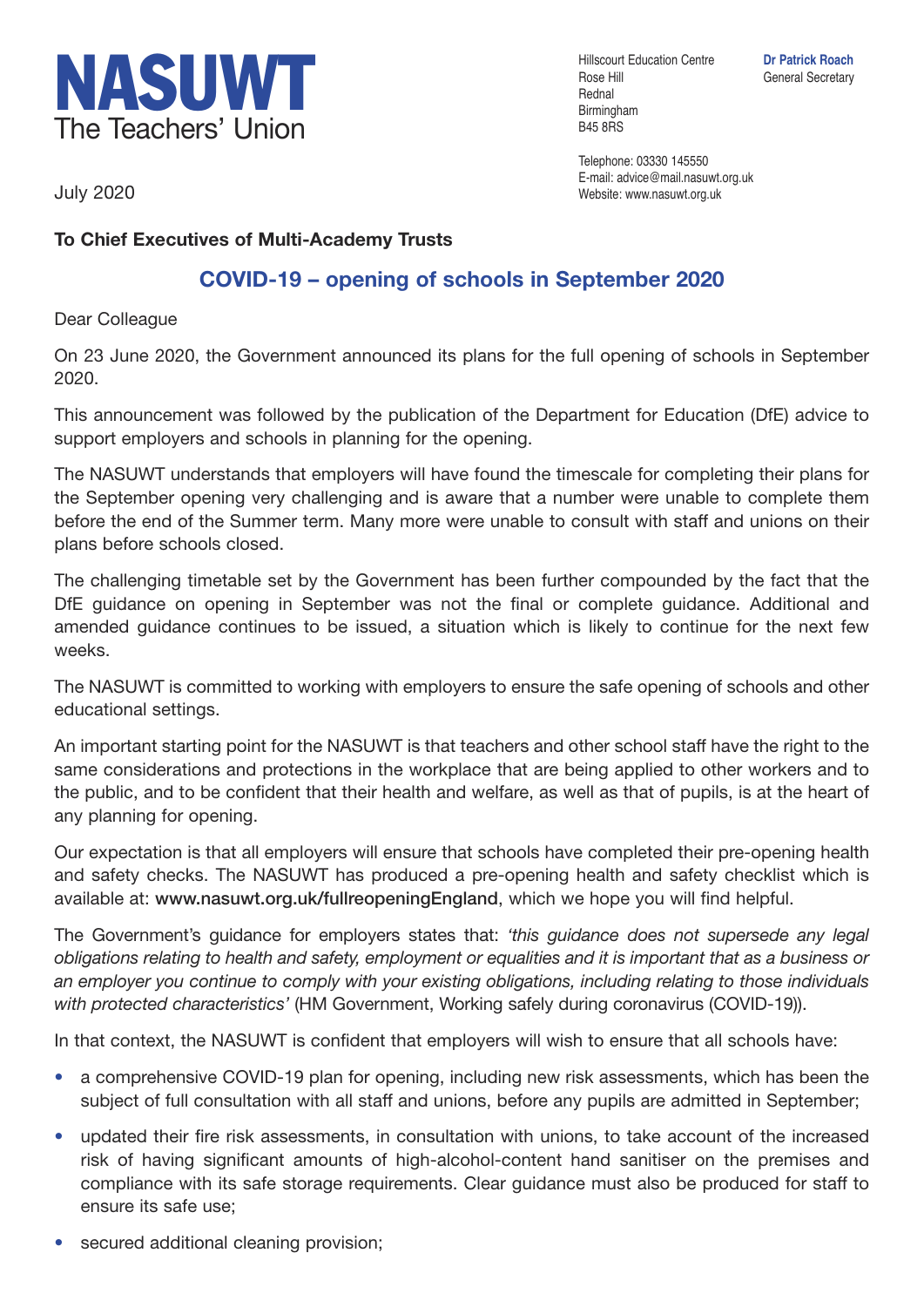

Hillscourt Education Centre **Dr Patrick Roach** Rose Hill General Secretary Rednal Birmingham B45 8RS

Telephone: 03330 145550 E-mail: advice@mail.nasuwt.org.uk Website: www.nasuwt.org.uk

July 2020

## **To Chief Executives of Multi-Academy Trusts**

## **COVID-19 – opening of schools in September 2020**

Dear Colleague

On 23 June 2020, the Government announced its plans for the full opening of schools in September 2020.

This announcement was followed by the publication of the Department for Education (DfE) advice to support employers and schools in planning for the opening.

The NASUWT understands that employers will have found the timescale for completing their plans for the September opening very challenging and is aware that a number were unable to complete them before the end of the Summer term. Many more were unable to consult with staff and unions on their plans before schools closed.

The challenging timetable set by the Government has been further compounded by the fact that the DfE guidance on opening in September was not the final or complete guidance. Additional and amended guidance continues to be issued, a situation which is likely to continue for the next few weeks.

The NASUWT is committed to working with employers to ensure the safe opening of schools and other educational settings.

An important starting point for the NASUWT is that teachers and other school staff have the right to the same considerations and protections in the workplace that are being applied to other workers and to the public, and to be confident that their health and welfare, as well as that of pupils, is at the heart of any planning for opening.

Our expectation is that all employers will ensure that schools have completed their pre-opening health and safety checks. The NASUWT has produced a pre-opening health and safety checklist which is available at: **www.nasuwt.org.uk/fullreopeningEngland**, which we hope you will find helpful.

The Government's guidance for employers states that: *'this guidance does not supersede any legal obligations relating to health and safety, employment or equalities and it is important that as a business or an employer you continue to comply with your existing obligations, including relating to those individuals with protected characteristics'* (HM Government, Working safely during coronavirus (COVID-19)).

In that context, the NASUWT is confident that employers will wish to ensure that all schools have:

- a comprehensive COVID-19 plan for opening, including new risk assessments, which has been the subject of full consultation with all staff and unions, before any pupils are admitted in September;
- updated their fire risk assessments, in consultation with unions, to take account of the increased risk of having significant amounts of high-alcohol-content hand sanitiser on the premises and compliance with its safe storage requirements. Clear guidance must also be produced for staff to ensure its safe use;
- secured additional cleaning provision;